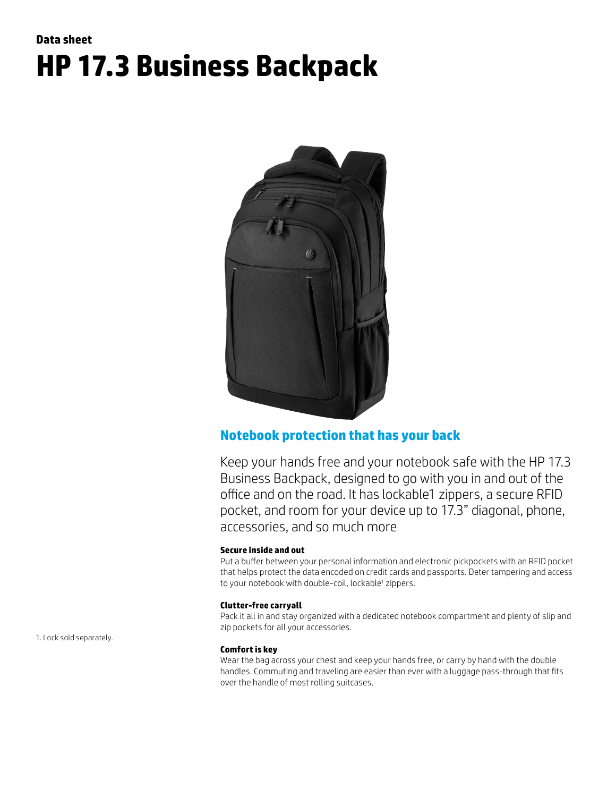# **Data sheet HP 17.3 Business Backpack**



## **Notebook protection that has your back**

Keep your hands free and your notebook safe with the HP 17.3 Business Backpack, designed to go with you in and out of the office and on the road. It has lockable1 zippers, a secure RFID pocket, and room for your device up to 17.3" diagonal, phone, accessories, and so much more

### **Secure inside and out**

Put a buffer between your personal information and electronic pickpockets with an RFID pocket that helps protect the data encoded on credit cards and passports. Deter tampering and access to your notebook with double-coil, lockable<sup>1</sup> zippers.

### **Clutter-free carryall**

Pack it all in and stay organized with a dedicated notebook compartment and plenty of slip and zip pockets for all your accessories.

#### **Comfort is key**

Wear the bag across your chest and keep your hands free, or carry by hand with the double handles. Commuting and traveling are easier than ever with a luggage pass-through that fits over the handle of most rolling suitcases.

1. Lock sold separately.